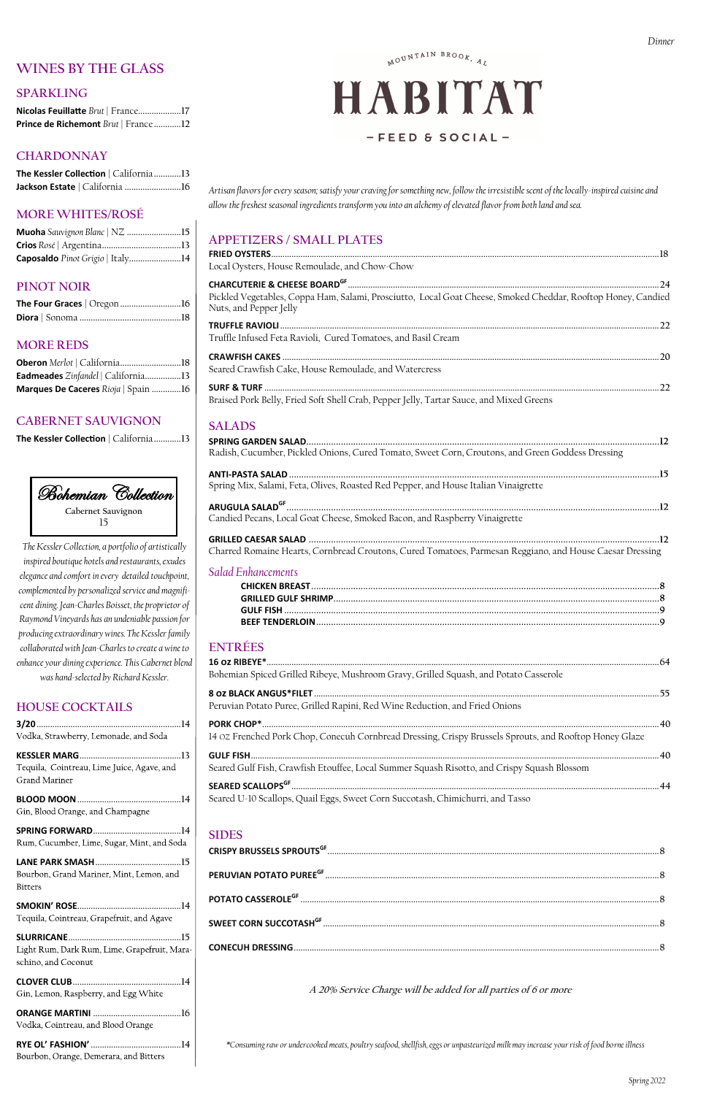*Artisan flavors for every season; satisfy your craving for something new, follow the irresistible scent of the locally-inspired cuisine and allow the freshest seasonal ingredients transform you into an alchemy of elevated flavor from both land and sea.*

## **APPETIZERS / SMALL PLATES**

| Local Oysters, House Remoulade, and Chow-Chow                                                                                          |  |
|----------------------------------------------------------------------------------------------------------------------------------------|--|
|                                                                                                                                        |  |
| Pickled Vegetables, Coppa Ham, Salami, Prosciutto, Local Goat Cheese, Smoked Cheddar, Rooftop Honey, Candied<br>Nuts, and Pepper Jelly |  |
| Truffle Infused Feta Ravioli, Cured Tomatoes, and Basil Cream                                                                          |  |
| Seared Crawfish Cake, House Remoulade, and Watercress                                                                                  |  |
| Braised Pork Belly, Fried Soft Shell Crab, Pepper Jelly, Tartar Sauce, and Mixed Greens                                                |  |
| <b>SALADS</b>                                                                                                                          |  |
|                                                                                                                                        |  |
| Radish, Cucumber, Pickled Onions, Cured Tomato, Sweet Corn, Croutons, and Green Goddess Dressing                                       |  |
| Spring Mix, Salami, Feta, Olives, Roasted Red Pepper, and House Italian Vinaigrette                                                    |  |
|                                                                                                                                        |  |
| Candied Pecans, Local Goat Cheese, Smoked Bacon, and Raspberry Vinaigrette                                                             |  |
|                                                                                                                                        |  |
| Charred Romaine Hearts, Cornbread Croutons, Cured Tomatoes, Parmesan Reggiano, and House Caesar Dressing                               |  |
| <b>Salad Enhancements</b>                                                                                                              |  |
|                                                                                                                                        |  |
|                                                                                                                                        |  |
|                                                                                                                                        |  |
|                                                                                                                                        |  |
| <b>ENTRÉES</b>                                                                                                                         |  |
|                                                                                                                                        |  |
| Bohemian Spiced Grilled Ribeye, Mushroom Gravy, Grilled Squash, and Potato Casserole                                                   |  |
|                                                                                                                                        |  |
| Peruvian Potato Puree, Grilled Rapini, Red Wine Reduction, and Fried Onions                                                            |  |
|                                                                                                                                        |  |
|                                                                                                                                        |  |

#### **SPRING FORWARD.......................................14** Rum, Cucumber, Lime, Sugar, Mint, and Soda

**LANE PARK SMASH......................................15** Bourbon, Grand Mariner, Mint, Lemon, and **Bitters** 

**SLURRICANE..................................................15** Light Rum, Dark Rum, Lime, Grapefruit, Maraschino, and Coconut

**ORANGE MARTINI .......................................16** Vodka, Cointreau, and Blood Orange

**RYE OL' FASHION' ........................................14** Bourbon, Orange, Demerara, and Bitters

14 OZ Frenched Pork Chop, Conecuh Cornbread Dressing, Crispy Brussels Sprouts, and Rooftop Honey Glaze

**GULF FISH.....................................................................................................................................................................................40**

Seared Gulf Fish, Crawfish Etouffee, Local Summer Squash Risotto, and Crispy Squash Blossom

**SEARED SCALLOPSGF ...................................................................................................................................................................44**

Seared U-10 Scallops, Quail Eggs, Sweet Corn Succotash, Chimichurri, and Tasso

**SIDES**

| ${\bf {\sf SWEET ~CORN}~SUCCOTASH}^{{\bf GF}}$ |  |
|------------------------------------------------|--|
|                                                |  |

**A 20% Service Charge will be added for all parties of 6 or more** 

Gin, Blood Orange, and Champagne

*\*Consuming raw or undercooked meats, poultry seafood, shellfish, eggs or unpasteurized milk may increase your risk of food borneillness*

## **WINES BY THE GLASS**

## **SPARKLING**

**Nicolas Feuillatte** *Brut* | France**...................17 Prince de Richemont** *Brut* | France **............12**

## **CHARDONNAY**

**The Kessler Collection** | California**............13 Jackson Estate** | California **.........................16**

## **MORE WHITES/ROSÉ**

| Muoha Sauvignon Blanc   NZ 15    |  |
|----------------------------------|--|
|                                  |  |
| Caposaldo Pinot Grigio   Italy14 |  |

## **PINOT NOIR**

## **MORE REDS**

| Oberon Merlot   California18        |  |
|-------------------------------------|--|
| Eadmeades Zinfandel   California13  |  |
| Marques De Caceres Rioja   Spain 16 |  |

## **CABERNET SAUVIGNON**

**The Kessler Collection** | California**............13**

*The Kessler Collection, a portfolio of artistically inspired boutique hotels and restaurants, exudes elegance and comfort in every detailed touchpoint, complemented by personalized service and magnificent dining. Jean-Charles Boisset, the proprietor of Raymond Vineyards has an undeniable passion for producing extraordinary wines. The Kessler family collaborated with Jean-Charles to create a wine to enhance your dining experience. This Cabernet blend was hand-selected by Richard Kessler.* 

## **HOUSE COCKTAILS**

| Vodka, Strawberry, Lemonade, and Soda      |  |
|--------------------------------------------|--|
|                                            |  |
| Tequila, Cointreau, Lime Juice, Agave, and |  |
| Grand Mariner                              |  |
|                                            |  |

MOUNTAIN BROOK, AL

# HABITAT  $-$ FEED & SOCIAL-

**SMOKIN' ROSE..............................................14**

Tequila, Cointreau, Grapefruit, and Agave

**CLOVER CLUB................................................14**